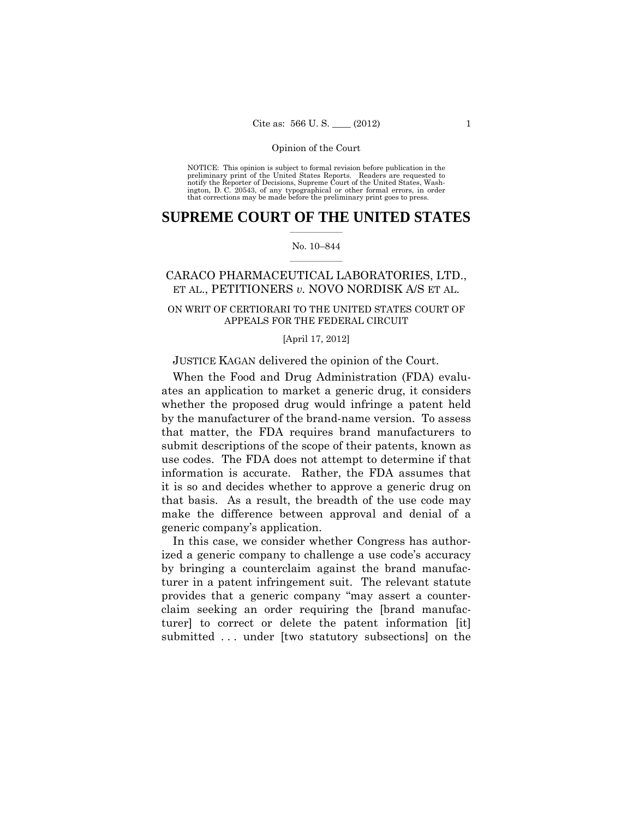preliminary print of the United States Reports. Readers are requested to notify the Reporter of Decisions, Supreme Court of the United States, Wash- ington, D. C. 20543, of any typographical or other formal errors, in order that corrections may be made before the preliminary print goes to press. NOTICE: This opinion is subject to formal revision before publication in the

## $\frac{1}{2}$  ,  $\frac{1}{2}$  ,  $\frac{1}{2}$  ,  $\frac{1}{2}$  ,  $\frac{1}{2}$  ,  $\frac{1}{2}$  ,  $\frac{1}{2}$ **SUPREME COURT OF THE UNITED STATES**

#### $\frac{1}{2}$  ,  $\frac{1}{2}$  ,  $\frac{1}{2}$  ,  $\frac{1}{2}$  ,  $\frac{1}{2}$  ,  $\frac{1}{2}$ No. 10–844

# ET AL., PETITIONERS *v.* NOVO NORDISK A/S ET AL. CARACO PHARMACEUTICAL LABORATORIES, LTD.,

## ON WRIT OF CERTIORARI TO THE UNITED STATES COURT OF APPEALS FOR THE FEDERAL CIRCUIT

#### [April 17, 2012]

## JUSTICE KAGAN delivered the opinion of the Court.

When the Food and Drug Administration (FDA) evaluates an application to market a generic drug, it considers whether the proposed drug would infringe a patent held by the manufacturer of the brand-name version. To assess that matter, the FDA requires brand manufacturers to submit descriptions of the scope of their patents, known as use codes. The FDA does not attempt to determine if that information is accurate. Rather, the FDA assumes that it is so and decides whether to approve a generic drug on that basis. As a result, the breadth of the use code may make the difference between approval and denial of a generic company's application.

In this case, we consider whether Congress has authorized a generic company to challenge a use code's accuracy by bringing a counterclaim against the brand manufacturer in a patent infringement suit. The relevant statute provides that a generic company "may assert a counterclaim seeking an order requiring the [brand manufacturer] to correct or delete the patent information [it] submitted . . . under [two statutory subsections] on the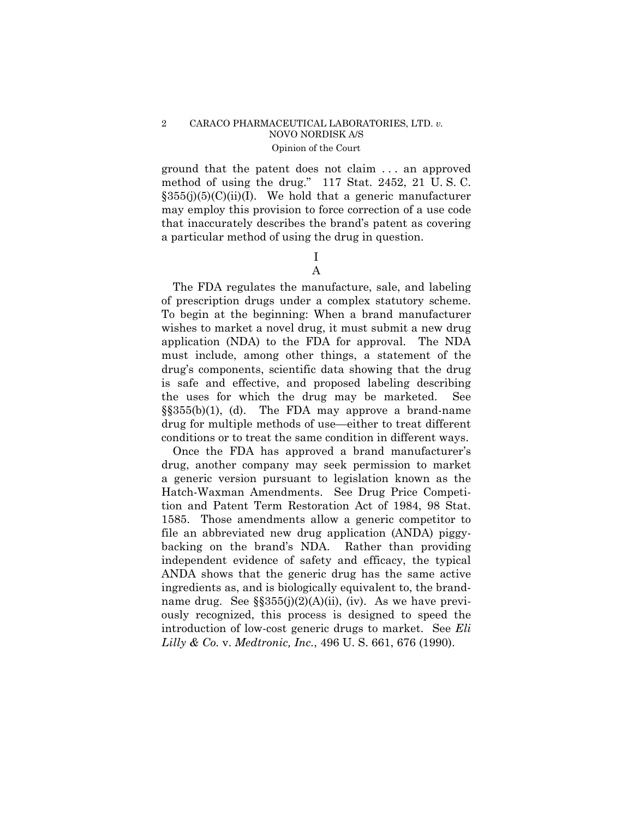ground that the patent does not claim . . . an approved method of using the drug." 117 Stat. 2452, 21 U. S. C.  $\S355(j)(5)(C)(ii)(I)$ . We hold that a generic manufacturer may employ this provision to force correction of a use code that inaccurately describes the brand's patent as covering a particular method of using the drug in question.

> I A

The FDA regulates the manufacture, sale, and labeling of prescription drugs under a complex statutory scheme. To begin at the beginning: When a brand manufacturer wishes to market a novel drug, it must submit a new drug application (NDA) to the FDA for approval. The NDA must include, among other things, a statement of the drug's components, scientific data showing that the drug is safe and effective, and proposed labeling describing the uses for which the drug may be marketed. See  $\S$ §355(b)(1), (d). The FDA may approve a brand-name drug for multiple methods of use—either to treat different conditions or to treat the same condition in different ways.

Once the FDA has approved a brand manufacturer's drug, another company may seek permission to market a generic version pursuant to legislation known as the Hatch-Waxman Amendments. See Drug Price Competition and Patent Term Restoration Act of 1984, 98 Stat. 1585. Those amendments allow a generic competitor to file an abbreviated new drug application (ANDA) piggybacking on the brand's NDA. Rather than providing independent evidence of safety and efficacy, the typical ANDA shows that the generic drug has the same active ingredients as, and is biologically equivalent to, the brandname drug. See  $\S$ §355(j)(2)(A)(ii), (iv). As we have previously recognized, this process is designed to speed the introduction of low-cost generic drugs to market. See *Eli Lilly & Co.* v. *Medtronic, Inc.*, 496 U. S. 661, 676 (1990).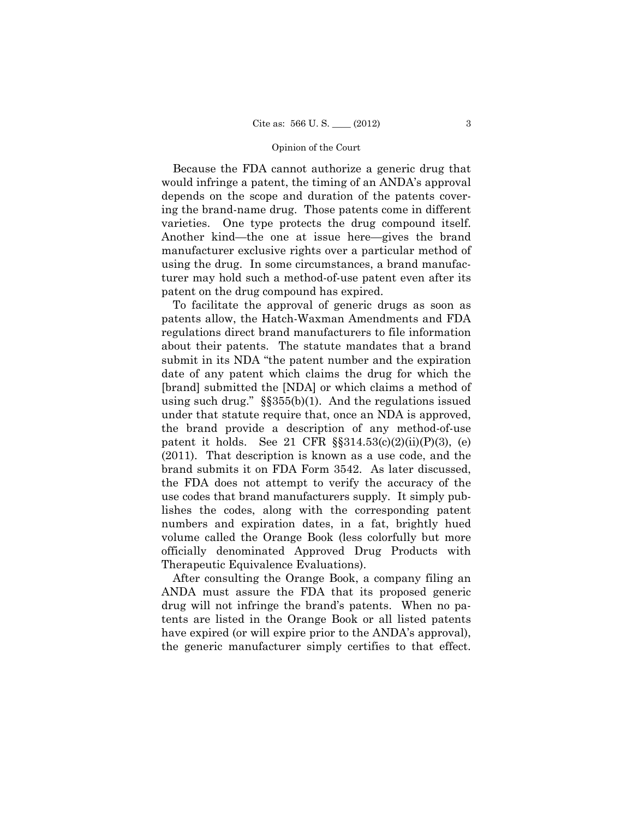Because the FDA cannot authorize a generic drug that would infringe a patent, the timing of an ANDA's approval depends on the scope and duration of the patents covering the brand-name drug. Those patents come in different varieties. One type protects the drug compound itself. Another kind—the one at issue here—gives the brand manufacturer exclusive rights over a particular method of using the drug. In some circumstances, a brand manufacturer may hold such a method-of-use patent even after its patent on the drug compound has expired.

To facilitate the approval of generic drugs as soon as patents allow, the Hatch-Waxman Amendments and FDA regulations direct brand manufacturers to file information about their patents. The statute mandates that a brand submit in its NDA "the patent number and the expiration date of any patent which claims the drug for which the [brand] submitted the [NDA] or which claims a method of using such drug." §§355(b)(1). And the regulations issued under that statute require that, once an NDA is approved, the brand provide a description of any method-of-use patent it holds. See 21 CFR §§314.53(c)(2)(ii)(P)(3), (e) (2011). That description is known as a use code, and the brand submits it on FDA Form 3542. As later discussed, the FDA does not attempt to verify the accuracy of the use codes that brand manufacturers supply. It simply publishes the codes, along with the corresponding patent numbers and expiration dates, in a fat, brightly hued volume called the Orange Book (less colorfully but more officially denominated Approved Drug Products with Therapeutic Equivalence Evaluations).

After consulting the Orange Book, a company filing an ANDA must assure the FDA that its proposed generic drug will not infringe the brand's patents. When no patents are listed in the Orange Book or all listed patents have expired (or will expire prior to the ANDA's approval), the generic manufacturer simply certifies to that effect.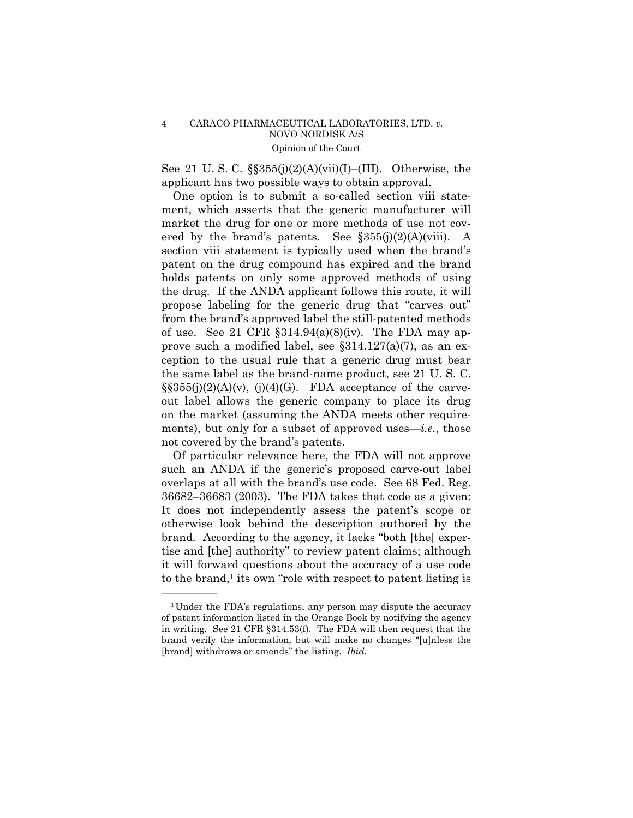See 21 U.S.C.  $\S$  $3555(j)(2)(A)(vii)(I)$ –(III). Otherwise, the applicant has two possible ways to obtain approval.

One option is to submit a so-called section viii statement, which asserts that the generic manufacturer will market the drug for one or more methods of use not covered by the brand's patents. See  $\S 355(j)(2)(A)(viii)$ . A section viii statement is typically used when the brand's patent on the drug compound has expired and the brand holds patents on only some approved methods of using the drug. If the ANDA applicant follows this route, it will propose labeling for the generic drug that "carves out" from the brand's approved label the still-patented methods of use. See 21 CFR  $\S 314.94(a)(8)(iv)$ . The FDA may approve such a modified label, see §314.127(a)(7), as an exception to the usual rule that a generic drug must bear the same label as the brand-name product, see 21 U. S. C.  $\S$ §355(j)(2)(A)(v), (j)(4)(G). FDA acceptance of the carveout label allows the generic company to place its drug on the market (assuming the ANDA meets other requirements), but only for a subset of approved uses—*i.e.*, those not covered by the brand's patents.

Of particular relevance here, the FDA will not approve such an ANDA if the generic's proposed carve-out label overlaps at all with the brand's use code. See 68 Fed. Reg. 36682–36683 (2003). The FDA takes that code as a given: It does not independently assess the patent's scope or otherwise look behind the description authored by the brand. According to the agency, it lacks "both [the] expertise and [the] authority" to review patent claims; although it will forward questions about the accuracy of a use code to the brand, $<sup>1</sup>$  its own "role with respect to patent listing is</sup>

<sup>1</sup>Under the FDA's regulations, any person may dispute the accuracy of patent information listed in the Orange Book by notifying the agency in writing. See 21 CFR §314.53(f). The FDA will then request that the brand verify the information, but will make no changes "[u]nless the [brand] withdraws or amends" the listing. *Ibid.*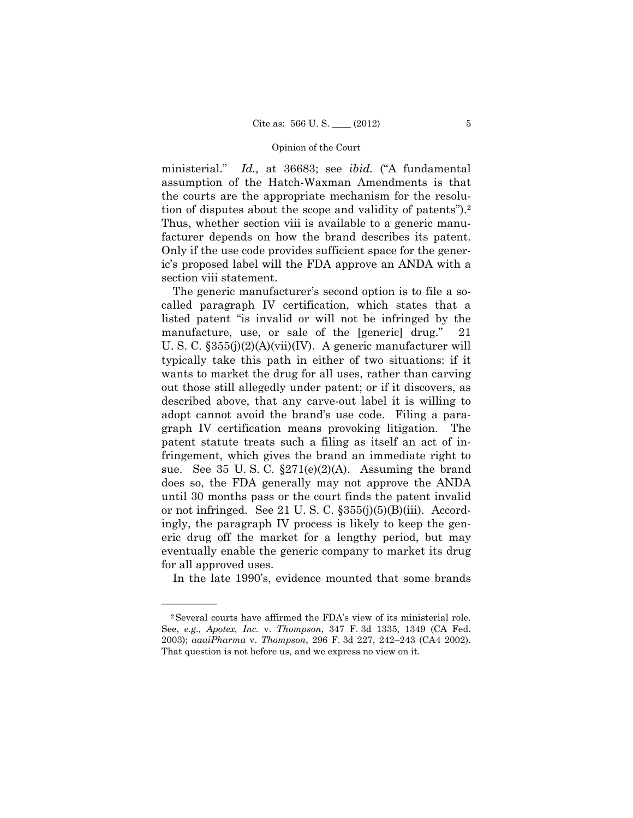tion of disputes about the scope and validity of patents").2 facturer depends on how the brand describes its patent. ministerial." *Id.,* at 36683; see *ibid.* ("A fundamental assumption of the Hatch-Waxman Amendments is that the courts are the appropriate mechanism for the resolu-Thus, whether section viii is available to a generic manu-Only if the use code provides sufficient space for the generic's proposed label will the FDA approve an ANDA with a section viii statement.

The generic manufacturer's second option is to file a socalled paragraph IV certification, which states that a listed patent "is invalid or will not be infringed by the manufacture, use, or sale of the [generic] drug." 21 U. S. C. §355(j)(2)(A)(vii)(IV). A generic manufacturer will typically take this path in either of two situations: if it wants to market the drug for all uses, rather than carving out those still allegedly under patent; or if it discovers, as described above, that any carve-out label it is willing to adopt cannot avoid the brand's use code. Filing a paragraph IV certification means provoking litigation. The patent statute treats such a filing as itself an act of infringement, which gives the brand an immediate right to sue. See 35 U.S.C.  $\S 271(e)(2)(A)$ . Assuming the brand does so, the FDA generally may not approve the ANDA until 30 months pass or the court finds the patent invalid or not infringed. See 21 U. S. C. §355(j)(5)(B)(iii). Accordingly, the paragraph IV process is likely to keep the generic drug off the market for a lengthy period, but may eventually enable the generic company to market its drug for all approved uses.

In the late 1990's, evidence mounted that some brands

<sup>&</sup>lt;sup>2</sup>Several courts have affirmed the FDA's view of its ministerial role. See, *e.g., Apotex, Inc.* v. *Thompson*, 347 F. 3d 1335, 1349 (CA Fed. 2003); *aaaiPharma* v. *Thompson*, 296 F. 3d 227, 242–243 (CA4 2002). That question is not before us, and we express no view on it.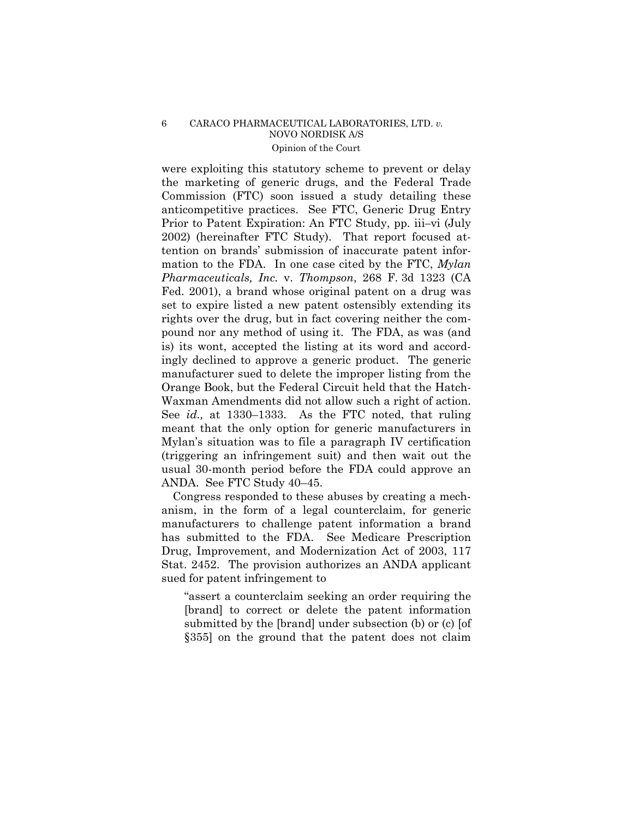2002) (hereinafter FTC Study). That report focused at-See *id.*, at 1330–1333. As the FTC noted, that ruling were exploiting this statutory scheme to prevent or delay the marketing of generic drugs, and the Federal Trade Commission (FTC) soon issued a study detailing these anticompetitive practices. See FTC, Generic Drug Entry Prior to Patent Expiration: An FTC Study, pp. iii*–*vi (July tention on brands' submission of inaccurate patent information to the FDA. In one case cited by the FTC, *Mylan Pharmaceuticals, Inc.* v. *Thompson*, 268 F. 3d 1323 (CA Fed. 2001), a brand whose original patent on a drug was set to expire listed a new patent ostensibly extending its rights over the drug, but in fact covering neither the compound nor any method of using it. The FDA, as was (and is) its wont, accepted the listing at its word and accordingly declined to approve a generic product. The generic manufacturer sued to delete the improper listing from the Orange Book, but the Federal Circuit held that the Hatch-Waxman Amendments did not allow such a right of action. meant that the only option for generic manufacturers in Mylan's situation was to file a paragraph IV certification (triggering an infringement suit) and then wait out the usual 30-month period before the FDA could approve an ANDA. See FTC Study 40–45.

Congress responded to these abuses by creating a mechanism, in the form of a legal counterclaim, for generic manufacturers to challenge patent information a brand has submitted to the FDA. See Medicare Prescription Drug, Improvement, and Modernization Act of 2003, 117 Stat. 2452. The provision authorizes an ANDA applicant sued for patent infringement to

"assert a counterclaim seeking an order requiring the [brand] to correct or delete the patent information submitted by the [brand] under subsection (b) or (c) [of §355] on the ground that the patent does not claim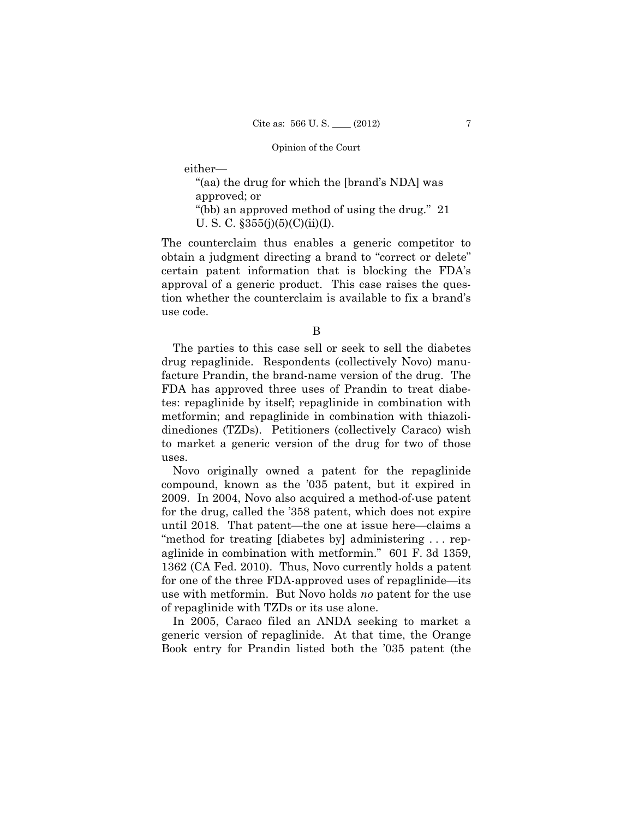either—

"(aa) the drug for which the [brand's NDA] was approved; or

"(bb) an approved method of using the drug." 21 U. S. C.  $\S 355(j)(5)(C)(ii)(I)$ .

The counterclaim thus enables a generic competitor to obtain a judgment directing a brand to "correct or delete" certain patent information that is blocking the FDA's approval of a generic product. This case raises the question whether the counterclaim is available to fix a brand's use code.

The parties to this case sell or seek to sell the diabetes drug repaglinide. Respondents (collectively Novo) manufacture Prandin, the brand-name version of the drug. The FDA has approved three uses of Prandin to treat diabetes: repaglinide by itself; repaglinide in combination with metformin; and repaglinide in combination with thiazolidinediones (TZDs). Petitioners (collectively Caraco) wish to market a generic version of the drug for two of those uses.

Novo originally owned a patent for the repaglinide compound, known as the '035 patent, but it expired in 2009. In 2004, Novo also acquired a method-of-use patent for the drug, called the '358 patent, which does not expire until 2018. That patent—the one at issue here—claims a "method for treating [diabetes by] administering . . . repaglinide in combination with metformin." 601 F. 3d 1359, 1362 (CA Fed. 2010). Thus, Novo currently holds a patent for one of the three FDA-approved uses of repaglinide—its use with metformin. But Novo holds *no* patent for the use of repaglinide with TZDs or its use alone.

In 2005, Caraco filed an ANDA seeking to market a generic version of repaglinide. At that time, the Orange Book entry for Prandin listed both the '035 patent (the

B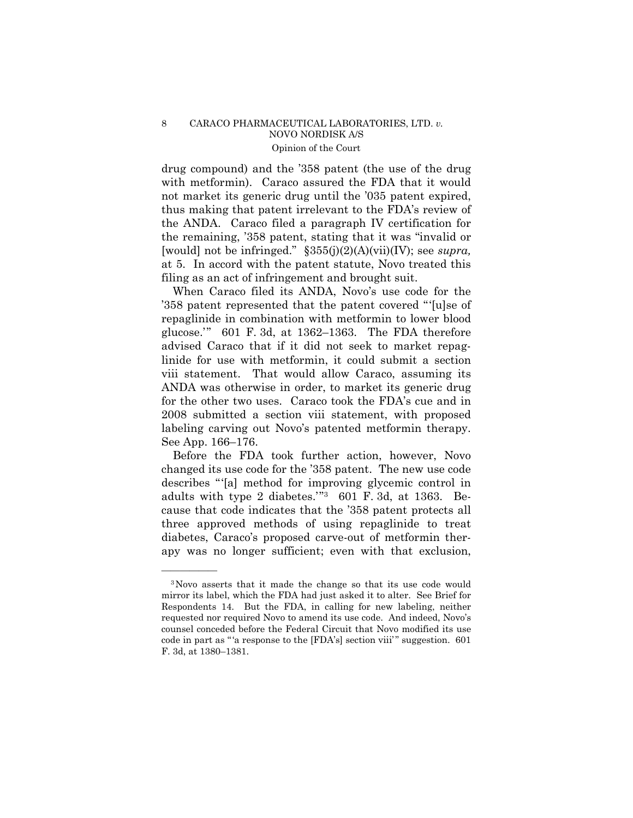drug compound) and the '358 patent (the use of the drug with metformin). Caraco assured the FDA that it would not market its generic drug until the '035 patent expired, thus making that patent irrelevant to the FDA's review of the ANDA. Caraco filed a paragraph IV certification for the remaining, '358 patent, stating that it was "invalid or [would] not be infringed." §355(j)(2)(A)(vii)(IV); see *supra,* at 5. In accord with the patent statute, Novo treated this filing as an act of infringement and brought suit.

 glucose.'" 601 F. 3d, at 1362–1363. The FDA therefore When Caraco filed its ANDA, Novo's use code for the '358 patent represented that the patent covered "'[u]se of repaglinide in combination with metformin to lower blood advised Caraco that if it did not seek to market repaglinide for use with metformin, it could submit a section viii statement. That would allow Caraco, assuming its ANDA was otherwise in order, to market its generic drug for the other two uses. Caraco took the FDA's cue and in 2008 submitted a section viii statement, with proposed labeling carving out Novo's patented metformin therapy. See App. 166–176.

Before the FDA took further action, however, Novo changed its use code for the '358 patent. The new use code describes "'[a] method for improving glycemic control in adults with type 2 diabetes.'"3 601 F. 3d, at 1363. Because that code indicates that the '358 patent protects all three approved methods of using repaglinide to treat diabetes, Caraco's proposed carve-out of metformin therapy was no longer sufficient; even with that exclusion,

code in part as "'a response to the [FDA's] section viii'" suggestion. 601 3Novo asserts that it made the change so that its use code would mirror its label, which the FDA had just asked it to alter. See Brief for Respondents 14. But the FDA, in calling for new labeling, neither requested nor required Novo to amend its use code. And indeed, Novo's counsel conceded before the Federal Circuit that Novo modified its use F. 3d, at 1380–1381.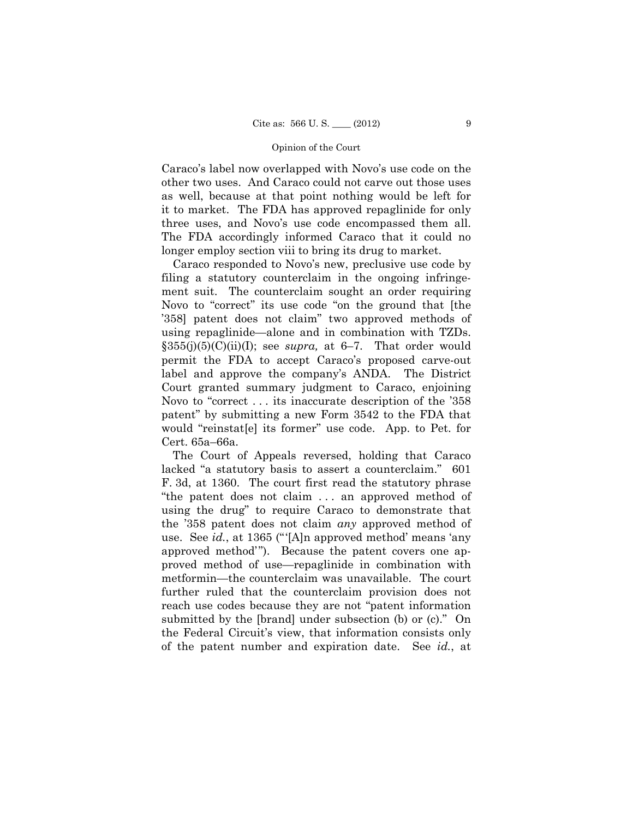Caraco's label now overlapped with Novo's use code on the other two uses. And Caraco could not carve out those uses as well, because at that point nothing would be left for it to market. The FDA has approved repaglinide for only three uses, and Novo's use code encompassed them all. The FDA accordingly informed Caraco that it could no longer employ section viii to bring its drug to market.

Caraco responded to Novo's new, preclusive use code by filing a statutory counterclaim in the ongoing infringement suit. The counterclaim sought an order requiring Novo to "correct" its use code "on the ground that [the '358] patent does not claim" two approved methods of using repaglinide—alone and in combination with TZDs. §355(j)(5)(C)(ii)(I); see *supra,* at 6–7. That order would permit the FDA to accept Caraco's proposed carve-out label and approve the company's ANDA. The District Court granted summary judgment to Caraco, enjoining Novo to "correct . . . its inaccurate description of the '358 patent" by submitting a new Form 3542 to the FDA that would "reinstat[e] its former" use code. App. to Pet. for Cert. 65a–66a.

The Court of Appeals reversed, holding that Caraco lacked "a statutory basis to assert a counterclaim." 601 F. 3d, at 1360. The court first read the statutory phrase "the patent does not claim . . . an approved method of using the drug" to require Caraco to demonstrate that the '358 patent does not claim *any* approved method of use. See *id.*, at 1365 ("'[A]n approved method' means 'any approved method'"). Because the patent covers one approved method of use—repaglinide in combination with metformin—the counterclaim was unavailable. The court further ruled that the counterclaim provision does not reach use codes because they are not "patent information submitted by the [brand] under subsection (b) or (c)." On the Federal Circuit's view, that information consists only of the patent number and expiration date. See *id.*, at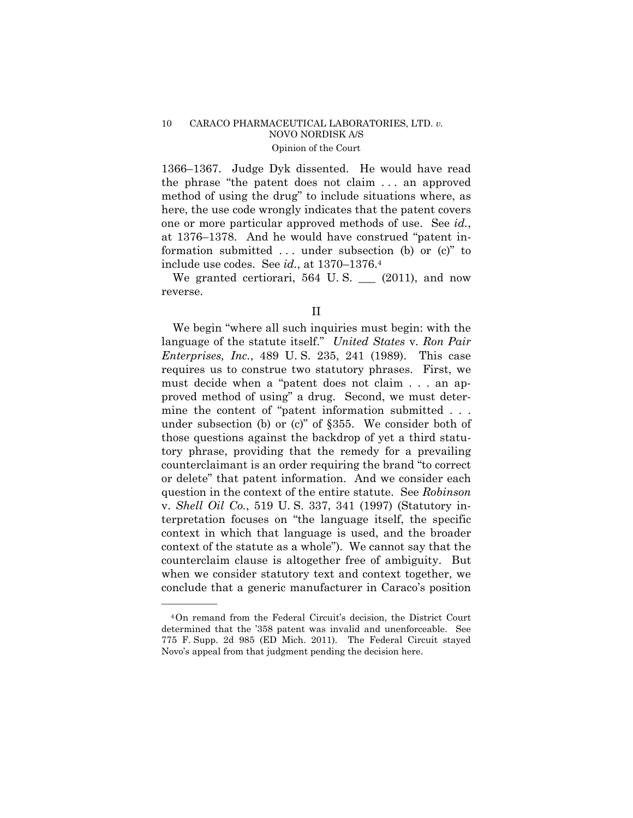1366–1367. Judge Dyk dissented. He would have read the phrase "the patent does not claim . . . an approved method of using the drug" to include situations where, as here, the use code wrongly indicates that the patent covers one or more particular approved methods of use. See *id.*, at 1376–1378. And he would have construed "patent information submitted . . . under subsection (b) or (c)" to include use codes. See *id.*, at 1370–1376.4

We granted certiorari, 564 U.S. (2011), and now reverse.

We begin "where all such inquiries must begin: with the language of the statute itself." *United States* v. *Ron Pair Enterprises, Inc.*, 489 U. S. 235, 241 (1989). This case requires us to construe two statutory phrases. First, we must decide when a "patent does not claim . . . an approved method of using" a drug. Second, we must determine the content of "patent information submitted . . . under subsection (b) or (c)" of §355. We consider both of those questions against the backdrop of yet a third statutory phrase, providing that the remedy for a prevailing counterclaimant is an order requiring the brand "to correct or delete" that patent information. And we consider each question in the context of the entire statute. See *Robinson*  v. *Shell Oil Co.*, 519 U. S. 337, 341 (1997) (Statutory interpretation focuses on "the language itself, the specific context in which that language is used, and the broader context of the statute as a whole"). We cannot say that the counterclaim clause is altogether free of ambiguity. But when we consider statutory text and context together, we conclude that a generic manufacturer in Caraco's position

II

<sup>4</sup>On remand from the Federal Circuit's decision, the District Court determined that the '358 patent was invalid and unenforceable. See 775 F. Supp. 2d 985 (ED Mich. 2011). The Federal Circuit stayed Novo's appeal from that judgment pending the decision here.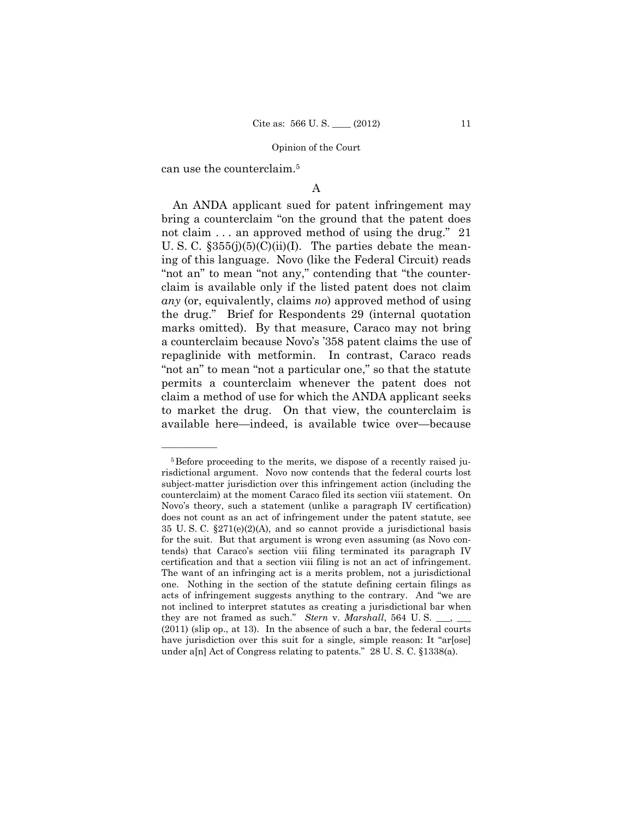can use the counterclaim.5

——————

## A

 to market the drug. On that view, the counterclaim is An ANDA applicant sued for patent infringement may bring a counterclaim "on the ground that the patent does not claim . . . an approved method of using the drug." 21 U. S. C.  $$355(j)(5)(C)(ii)(I)$ . The parties debate the meaning of this language. Novo (like the Federal Circuit) reads "not an" to mean "not any," contending that "the counterclaim is available only if the listed patent does not claim *any* (or, equivalently, claims *no*) approved method of using the drug." Brief for Respondents 29 (internal quotation marks omitted). By that measure, Caraco may not bring a counterclaim because Novo's '358 patent claims the use of repaglinide with metformin. In contrast, Caraco reads "not an" to mean "not a particular one," so that the statute permits a counterclaim whenever the patent does not claim a method of use for which the ANDA applicant seeks available here—indeed, is available twice over—because

<sup>&</sup>lt;sup>5</sup>Before proceeding to the merits, we dispose of a recently raised jurisdictional argument. Novo now contends that the federal courts lost subject-matter jurisdiction over this infringement action (including the counterclaim) at the moment Caraco filed its section viii statement. On Novo's theory, such a statement (unlike a paragraph IV certification) does not count as an act of infringement under the patent statute, see 35 U. S. C. §271(e)(2)(A), and so cannot provide a jurisdictional basis for the suit. But that argument is wrong even assuming (as Novo contends) that Caraco's section viii filing terminated its paragraph IV certification and that a section viii filing is not an act of infringement. The want of an infringing act is a merits problem, not a jurisdictional one. Nothing in the section of the statute defining certain filings as acts of infringement suggests anything to the contrary. And "we are not inclined to interpret statutes as creating a jurisdictional bar when they are not framed as such." *Stern v. Marshall*, 564 U.S. (2011) (slip op., at 13). In the absence of such a bar, the federal courts have jurisdiction over this suit for a single, simple reason: It "ar[ose] under a[n] Act of Congress relating to patents." 28 U. S. C. §1338(a).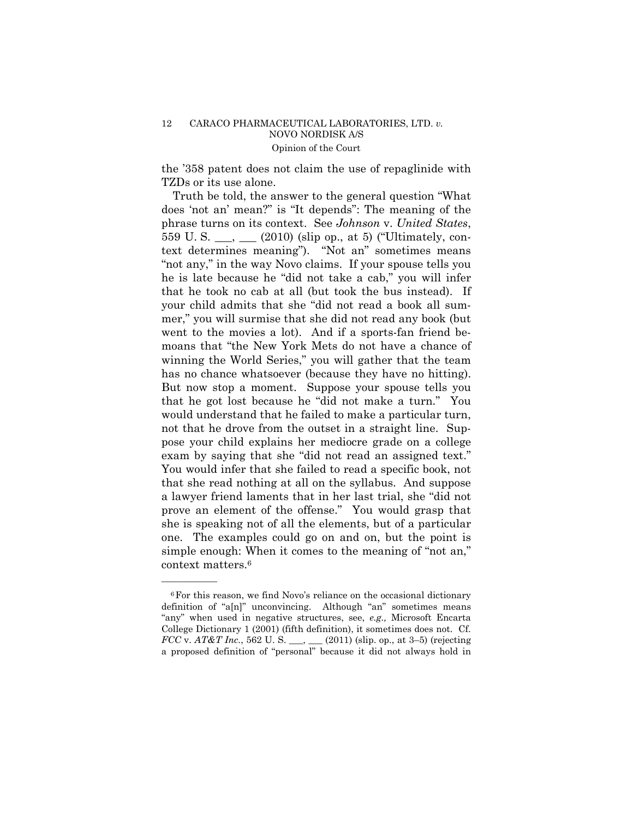the '358 patent does not claim the use of repaglinide with TZDs or its use alone.

 "not any," in the way Novo claims. If your spouse tells you Truth be told, the answer to the general question "What does 'not an' mean?" is "It depends": The meaning of the phrase turns on its context. See *Johnson* v. *United States*, 559 U.S.  $\frac{1}{2}$  (2010) (slip op., at 5) ("Ultimately, context determines meaning"). "Not an" sometimes means he is late because he "did not take a cab," you will infer that he took no cab at all (but took the bus instead). If your child admits that she "did not read a book all summer," you will surmise that she did not read any book (but went to the movies a lot). And if a sports-fan friend bemoans that "the New York Mets do not have a chance of winning the World Series," you will gather that the team has no chance whatsoever (because they have no hitting). But now stop a moment. Suppose your spouse tells you that he got lost because he "did not make a turn." You would understand that he failed to make a particular turn, not that he drove from the outset in a straight line. Suppose your child explains her mediocre grade on a college exam by saying that she "did not read an assigned text." You would infer that she failed to read a specific book, not that she read nothing at all on the syllabus. And suppose a lawyer friend laments that in her last trial, she "did not prove an element of the offense." You would grasp that she is speaking not of all the elements, but of a particular one. The examples could go on and on, but the point is simple enough: When it comes to the meaning of "not an," context matters.6

<sup>6</sup>For this reason, we find Novo's reliance on the occasional dictionary definition of "a[n]" unconvincing. Although "an" sometimes means "any" when used in negative structures, see, *e.g.,* Microsoft Encarta College Dictionary 1 (2001) (fifth definition), it sometimes does not. Cf. *FCC* v. *AT&T Inc.*, 562 U. S. \_\_\_, \_\_\_ (2011) (slip. op., at 3–5) (rejecting a proposed definition of "personal" because it did not always hold in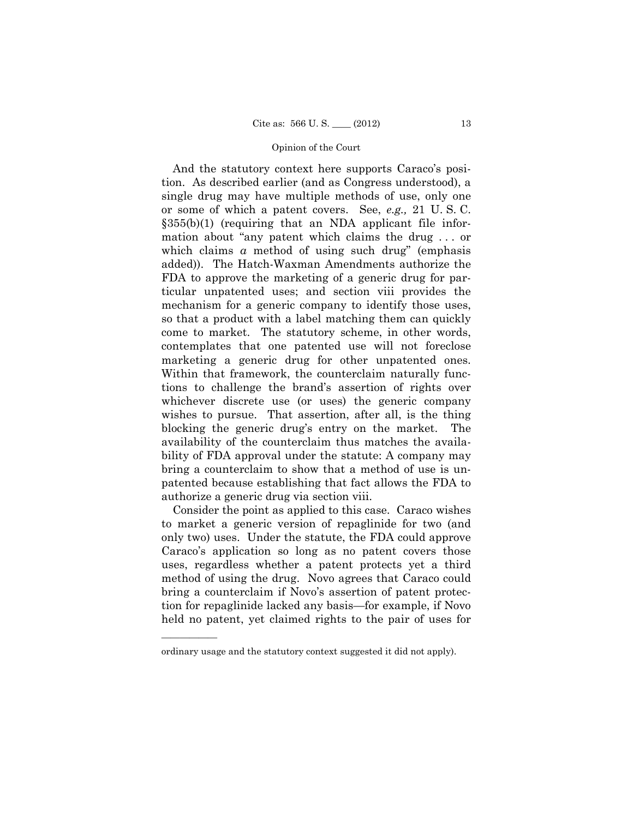And the statutory context here supports Caraco's position. As described earlier (and as Congress understood), a single drug may have multiple methods of use, only one or some of which a patent covers. See, *e.g.,* 21 U. S. C. §355(b)(1) (requiring that an NDA applicant file information about "any patent which claims the drug . . . or which claims *a* method of using such drug" (emphasis added)). The Hatch-Waxman Amendments authorize the FDA to approve the marketing of a generic drug for particular unpatented uses; and section viii provides the mechanism for a generic company to identify those uses, so that a product with a label matching them can quickly come to market. The statutory scheme, in other words, contemplates that one patented use will not foreclose marketing a generic drug for other unpatented ones. Within that framework, the counterclaim naturally functions to challenge the brand's assertion of rights over whichever discrete use (or uses) the generic company wishes to pursue. That assertion, after all, is the thing blocking the generic drug's entry on the market. The availability of the counterclaim thus matches the availability of FDA approval under the statute: A company may bring a counterclaim to show that a method of use is unpatented because establishing that fact allows the FDA to authorize a generic drug via section viii.

Consider the point as applied to this case. Caraco wishes to market a generic version of repaglinide for two (and only two) uses. Under the statute, the FDA could approve Caraco's application so long as no patent covers those uses, regardless whether a patent protects yet a third method of using the drug. Novo agrees that Caraco could bring a counterclaim if Novo's assertion of patent protection for repaglinide lacked any basis—for example, if Novo held no patent, yet claimed rights to the pair of uses for

ordinary usage and the statutory context suggested it did not apply).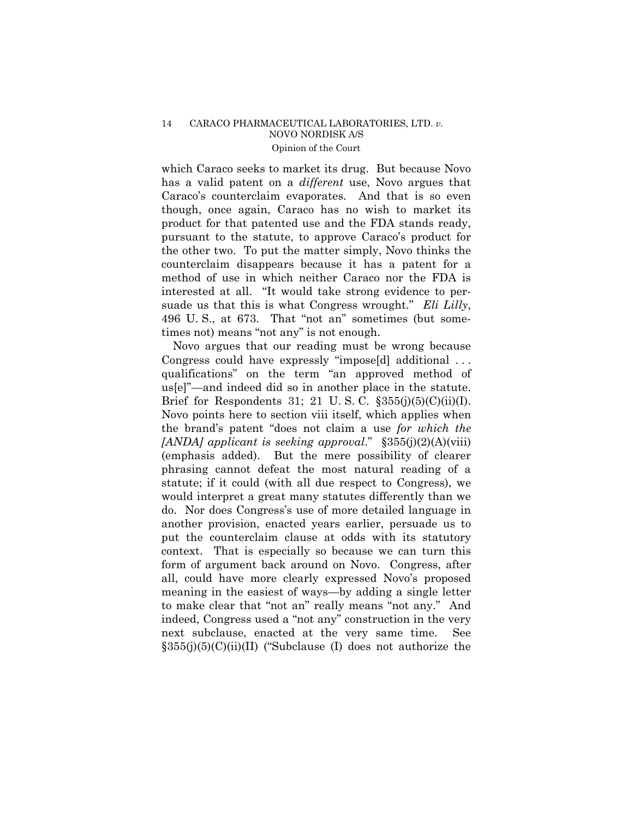which Caraco seeks to market its drug. But because Novo has a valid patent on a *different* use, Novo argues that Caraco's counterclaim evaporates. And that is so even though, once again, Caraco has no wish to market its product for that patented use and the FDA stands ready, pursuant to the statute, to approve Caraco's product for the other two. To put the matter simply, Novo thinks the counterclaim disappears because it has a patent for a method of use in which neither Caraco nor the FDA is interested at all. "It would take strong evidence to persuade us that this is what Congress wrought." *Eli Lilly*, 496 U. S., at 673. That "not an" sometimes (but sometimes not) means "not any" is not enough.

 us[e]"—and indeed did so in another place in the statute. Novo argues that our reading must be wrong because Congress could have expressly "impose[d] additional . . . qualifications" on the term "an approved method of Brief for Respondents 31; 21 U.S.C.  $\S 355(j)(5)(C)(ii)(I)$ . Novo points here to section viii itself, which applies when the brand's patent "does not claim a use *for which the [ANDA] applicant is seeking approval*." §355(j)(2)(A)(viii) (emphasis added). But the mere possibility of clearer phrasing cannot defeat the most natural reading of a statute; if it could (with all due respect to Congress), we would interpret a great many statutes differently than we do. Nor does Congress's use of more detailed language in another provision, enacted years earlier, persuade us to put the counterclaim clause at odds with its statutory context. That is especially so because we can turn this form of argument back around on Novo. Congress, after all, could have more clearly expressed Novo's proposed meaning in the easiest of ways—by adding a single letter to make clear that "not an" really means "not any." And indeed, Congress used a "not any" construction in the very next subclause, enacted at the very same time. See §355(j)(5)(C)(ii)(II) ("Subclause (I) does not authorize the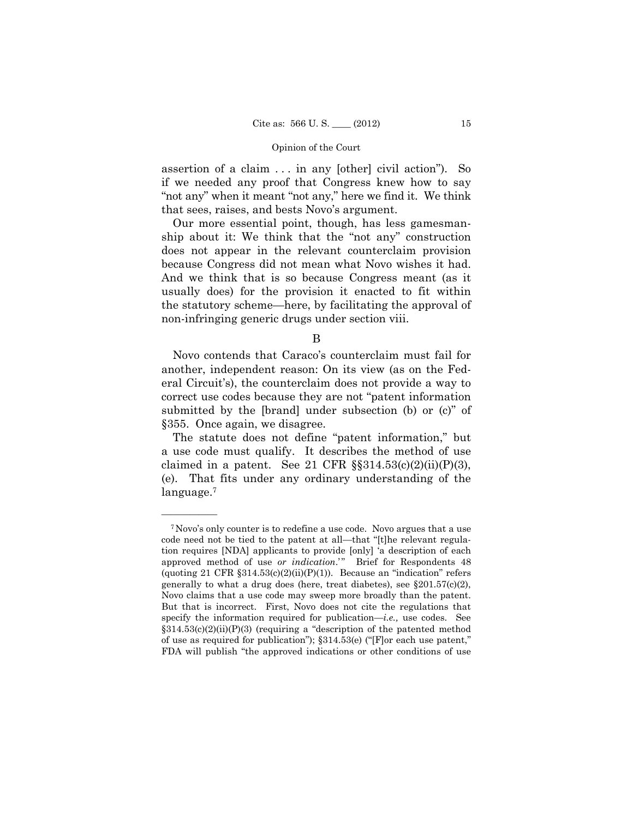assertion of a claim . . . in any [other] civil action"). So if we needed any proof that Congress knew how to say "not any" when it meant "not any," here we find it. We think that sees, raises, and bests Novo's argument.

Our more essential point, though, has less gamesmanship about it: We think that the "not any" construction does not appear in the relevant counterclaim provision because Congress did not mean what Novo wishes it had. And we think that is so because Congress meant (as it usually does) for the provision it enacted to fit within the statutory scheme—here, by facilitating the approval of non-infringing generic drugs under section viii.

B

Novo contends that Caraco's counterclaim must fail for another, independent reason: On its view (as on the Federal Circuit's), the counterclaim does not provide a way to correct use codes because they are not "patent information submitted by the [brand] under subsection (b) or (c)" of §355. Once again, we disagree.

The statute does not define "patent information," but a use code must qualify. It describes the method of use claimed in a patent. See 21 CFR  $\S$ §314.53(c)(2)(ii)(P)(3), (e). That fits under any ordinary understanding of the language.7

 Novo claims that a use code may sweep more broadly than the patent. specify the information required for publication—*i.e.,* use codes. See 7Novo's only counter is to redefine a use code. Novo argues that a use code need not be tied to the patent at all—that "[t]he relevant regulation requires [NDA] applicants to provide [only] 'a description of each approved method of use or indication.'" Brief for Respondents 48 (quoting 21 CFR  $$314.53(c)(2)(ii)(P)(1)$ ). Because an "indication" refers generally to what a drug does (here, treat diabetes), see §201.57(c)(2), But that is incorrect. First, Novo does not cite the regulations that  $§314.53(c)(2)(ii)(P)(3)$  (requiring a "description of the patented method of use as required for publication"); §314.53(e) ("[F]or each use patent," FDA will publish "the approved indications or other conditions of use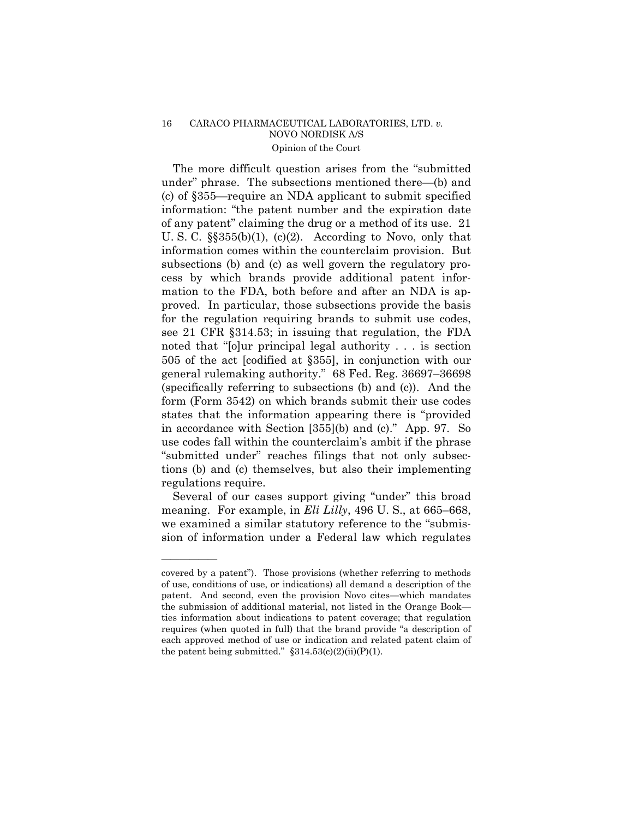The more difficult question arises from the "submitted under" phrase. The subsections mentioned there—(b) and (c) of §355—require an NDA applicant to submit specified information: "the patent number and the expiration date of any patent" claiming the drug or a method of its use. 21 U. S. C. §§355(b)(1), (c)(2). According to Novo, only that information comes within the counterclaim provision. But subsections (b) and (c) as well govern the regulatory process by which brands provide additional patent information to the FDA, both before and after an NDA is approved. In particular, those subsections provide the basis for the regulation requiring brands to submit use codes, see 21 CFR §314.53; in issuing that regulation, the FDA noted that "[o]ur principal legal authority . . . is section 505 of the act [codified at §355], in conjunction with our general rulemaking authority." 68 Fed. Reg. 36697–36698 (specifically referring to subsections (b) and (c)). And the form (Form 3542) on which brands submit their use codes states that the information appearing there is "provided in accordance with Section [355](b) and (c)." App. 97. So use codes fall within the counterclaim's ambit if the phrase "submitted under" reaches filings that not only subsections (b) and (c) themselves, but also their implementing regulations require.

Several of our cases support giving "under" this broad meaning. For example, in *Eli Lilly*, 496 U. S., at 665–668, we examined a similar statutory reference to the "submission of information under a Federal law which regulates

covered by a patent"). Those provisions (whether referring to methods of use, conditions of use, or indications) all demand a description of the patent. And second, even the provision Novo cites—which mandates the submission of additional material, not listed in the Orange Book ties information about indications to patent coverage; that regulation requires (when quoted in full) that the brand provide "a description of each approved method of use or indication and related patent claim of the patent being submitted."  $§314.53(c)(2)(ii)(P)(1)$ .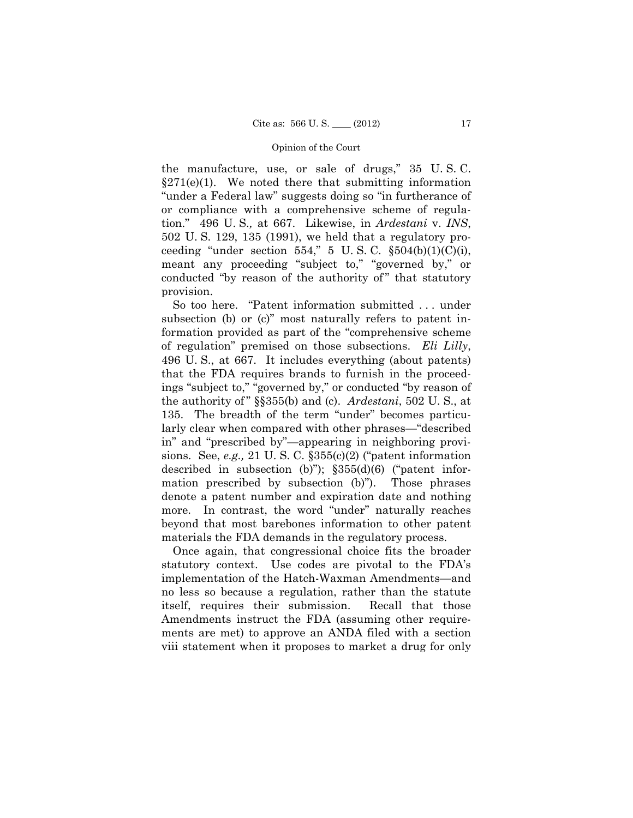the manufacture, use, or sale of drugs," 35 U. S. C.  $\S271(e)(1)$ . We noted there that submitting information "under a Federal law" suggests doing so "in furtherance of or compliance with a comprehensive scheme of regulation." 496 U. S.*,* at 667. Likewise, in *Ardestani* v. *INS*, 502 U. S. 129, 135 (1991), we held that a regulatory proceeding "under section 554," 5 U.S.C.  $$504(b)(1)(C)(i)$ , meant any proceeding "subject to," "governed by," or conducted "by reason of the authority of" that statutory provision.

So too here. "Patent information submitted . . . under subsection (b) or (c)" most naturally refers to patent information provided as part of the "comprehensive scheme of regulation" premised on those subsections. *Eli Lilly*, 496 U. S., at 667. It includes everything (about patents) that the FDA requires brands to furnish in the proceedings "subject to," "governed by," or conducted "by reason of the authority of " §§355(b) and (c). *Ardestani*, 502 U. S., at 135. The breadth of the term "under" becomes particularly clear when compared with other phrases—"described in" and "prescribed by"—appearing in neighboring provisions. See, *e.g.,* 21 U. S. C. §355(c)(2) ("patent information described in subsection (b)");  $\S 355(d)(6)$  ("patent information prescribed by subsection (b)"). Those phrases denote a patent number and expiration date and nothing more. In contrast, the word "under" naturally reaches beyond that most barebones information to other patent materials the FDA demands in the regulatory process.

Once again, that congressional choice fits the broader statutory context. Use codes are pivotal to the FDA's implementation of the Hatch-Waxman Amendments—and no less so because a regulation, rather than the statute itself, requires their submission. Recall that those Amendments instruct the FDA (assuming other requirements are met) to approve an ANDA filed with a section viii statement when it proposes to market a drug for only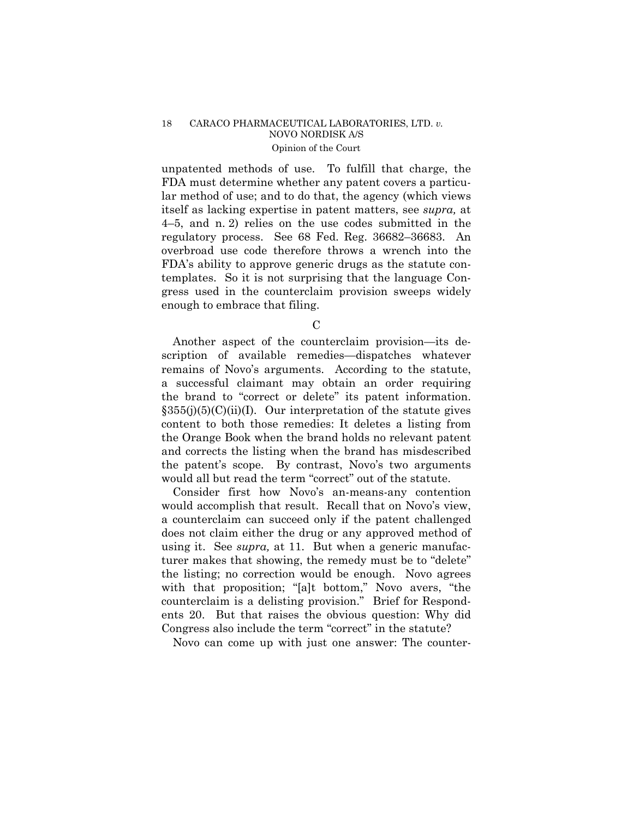unpatented methods of use. To fulfill that charge, the FDA must determine whether any patent covers a particular method of use; and to do that, the agency (which views itself as lacking expertise in patent matters, see *supra,* at 4–5, and n. 2) relies on the use codes submitted in the regulatory process. See 68 Fed. Reg. 36682–36683. An overbroad use code therefore throws a wrench into the FDA's ability to approve generic drugs as the statute contemplates. So it is not surprising that the language Congress used in the counterclaim provision sweeps widely enough to embrace that filing.

 $\mathcal{C}$ 

Another aspect of the counterclaim provision—its description of available remedies—dispatches whatever remains of Novo's arguments. According to the statute, a successful claimant may obtain an order requiring the brand to "correct or delete" its patent information.  $\frac{\delta(355(i)(5)(C(ii))(I)}{\delta(5)}$ . Our interpretation of the statute gives content to both those remedies: It deletes a listing from the Orange Book when the brand holds no relevant patent and corrects the listing when the brand has misdescribed the patent's scope. By contrast, Novo's two arguments would all but read the term "correct" out of the statute.

Consider first how Novo's an-means-any contention would accomplish that result. Recall that on Novo's view, a counterclaim can succeed only if the patent challenged does not claim either the drug or any approved method of using it. See *supra,* at 11. But when a generic manufacturer makes that showing, the remedy must be to "delete" the listing; no correction would be enough. Novo agrees with that proposition; "[a]t bottom," Novo avers, "the counterclaim is a delisting provision." Brief for Respondents 20. But that raises the obvious question: Why did Congress also include the term "correct" in the statute?

Novo can come up with just one answer: The counter-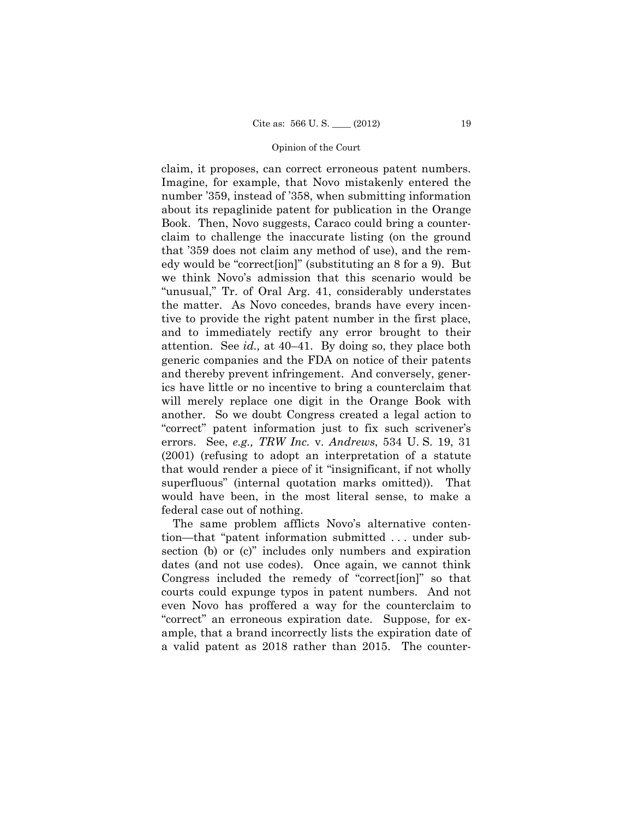claim, it proposes, can correct erroneous patent numbers. Imagine, for example, that Novo mistakenly entered the number '359, instead of '358, when submitting information about its repaglinide patent for publication in the Orange Book. Then, Novo suggests, Caraco could bring a counterclaim to challenge the inaccurate listing (on the ground that '359 does not claim any method of use), and the remedy would be "correct[ion]" (substituting an 8 for a 9). But we think Novo's admission that this scenario would be "unusual," Tr. of Oral Arg. 41, considerably understates the matter. As Novo concedes, brands have every incentive to provide the right patent number in the first place, and to immediately rectify any error brought to their attention. See *id.,* at 40–41. By doing so, they place both generic companies and the FDA on notice of their patents and thereby prevent infringement. And conversely, generics have little or no incentive to bring a counterclaim that will merely replace one digit in the Orange Book with another. So we doubt Congress created a legal action to "correct" patent information just to fix such scrivener's errors. See, *e.g., TRW Inc.* v. *Andrews*, 534 U. S. 19, 31 (2001) (refusing to adopt an interpretation of a statute that would render a piece of it "insignificant, if not wholly superfluous" (internal quotation marks omitted)). That would have been, in the most literal sense, to make a federal case out of nothing.

The same problem afflicts Novo's alternative contention—that "patent information submitted . . . under subsection (b) or (c)" includes only numbers and expiration dates (and not use codes). Once again, we cannot think Congress included the remedy of "correct[ion]" so that courts could expunge typos in patent numbers. And not even Novo has proffered a way for the counterclaim to "correct" an erroneous expiration date. Suppose, for example, that a brand incorrectly lists the expiration date of a valid patent as 2018 rather than 2015. The counter-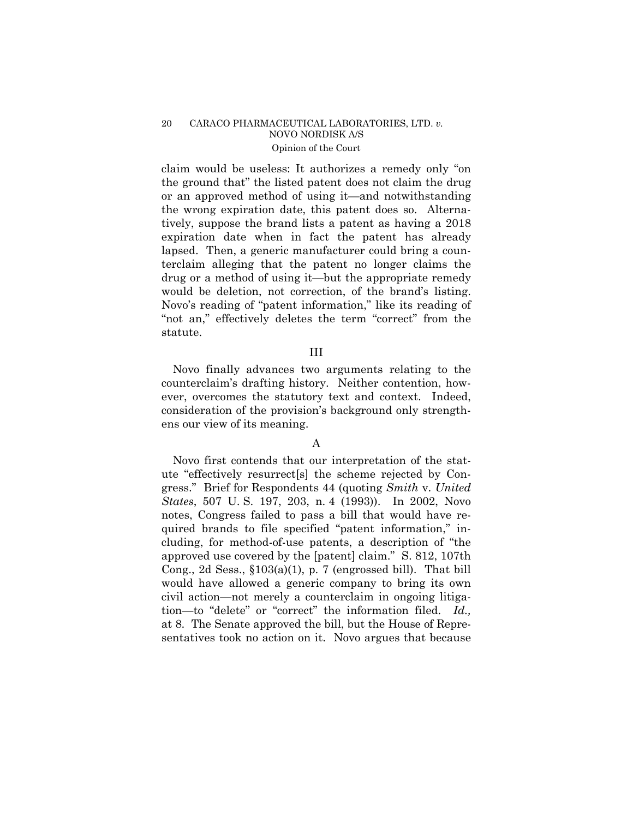claim would be useless: It authorizes a remedy only "on the ground that" the listed patent does not claim the drug or an approved method of using it—and notwithstanding the wrong expiration date, this patent does so. Alternatively, suppose the brand lists a patent as having a 2018 expiration date when in fact the patent has already lapsed. Then, a generic manufacturer could bring a counterclaim alleging that the patent no longer claims the drug or a method of using it—but the appropriate remedy would be deletion, not correction, of the brand's listing. Novo's reading of "patent information," like its reading of "not an," effectively deletes the term "correct" from the statute.

# III

 counterclaim's drafting history. Neither contention, how-Novo finally advances two arguments relating to the ever, overcomes the statutory text and context. Indeed, consideration of the provision's background only strengthens our view of its meaning.

# A

Novo first contends that our interpretation of the statute "effectively resurrect[s] the scheme rejected by Congress." Brief for Respondents 44 (quoting *Smith* v. *United States*, 507 U. S. 197, 203, n. 4 (1993)). In 2002, Novo notes, Congress failed to pass a bill that would have required brands to file specified "patent information," including, for method-of-use patents, a description of "the approved use covered by the [patent] claim." S. 812, 107th Cong., 2d Sess.,  $$103(a)(1)$ , p. 7 (engrossed bill). That bill would have allowed a generic company to bring its own civil action—not merely a counterclaim in ongoing litigation—to "delete" or "correct" the information filed. *Id.,*  at 8. The Senate approved the bill, but the House of Representatives took no action on it. Novo argues that because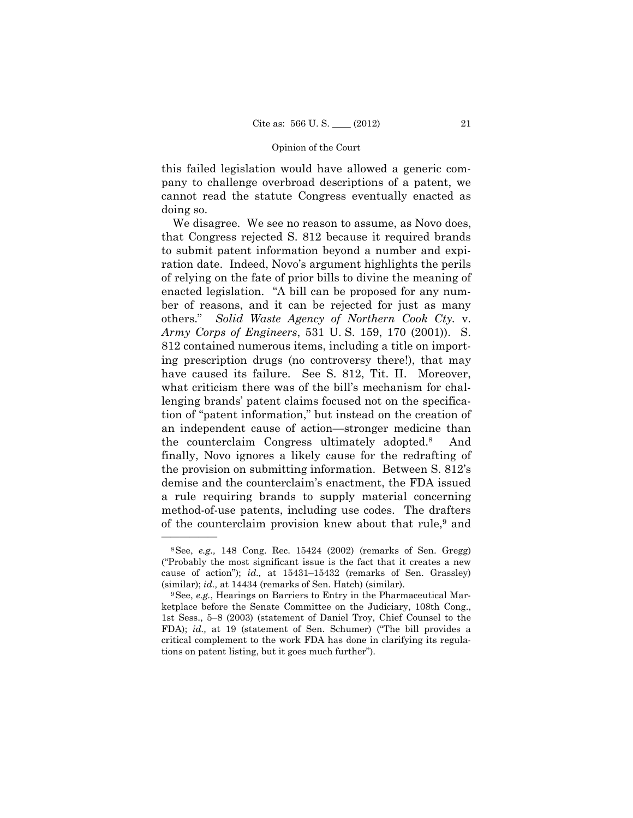this failed legislation would have allowed a generic company to challenge overbroad descriptions of a patent, we cannot read the statute Congress eventually enacted as doing so.

We disagree. We see no reason to assume, as Novo does, that Congress rejected S. 812 because it required brands to submit patent information beyond a number and expiration date. Indeed, Novo's argument highlights the perils of relying on the fate of prior bills to divine the meaning of enacted legislation. "A bill can be proposed for any number of reasons, and it can be rejected for just as many others." *Solid Waste Agency of Northern Cook Cty.* v. *Army Corps of Engineers*, 531 U. S. 159, 170 (2001)). S. 812 contained numerous items, including a title on importing prescription drugs (no controversy there!), that may have caused its failure. See S. 812, Tit. II. Moreover, what criticism there was of the bill's mechanism for challenging brands' patent claims focused not on the specification of "patent information," but instead on the creation of an independent cause of action—stronger medicine than the counterclaim Congress ultimately adopted.8 And finally, Novo ignores a likely cause for the redrafting of the provision on submitting information. Between S. 812's demise and the counterclaim's enactment, the FDA issued a rule requiring brands to supply material concerning method-of-use patents, including use codes. The drafters of the counterclaim provision knew about that rule,<sup>9</sup> and

<sup>8</sup>See, *e.g.,* 148 Cong. Rec. 15424 (2002) (remarks of Sen. Gregg) ("Probably the most significant issue is the fact that it creates a new cause of action"); *id.*, at 15431-15432 (remarks of Sen. Grassley) (similar); *id.,* at 14434 (remarks of Sen. Hatch) (similar). 9See, *e.g.*, Hearings on Barriers to Entry in the Pharmaceutical Mar-

ketplace before the Senate Committee on the Judiciary, 108th Cong., 1st Sess., 5–8 (2003) (statement of Daniel Troy, Chief Counsel to the FDA); *id.,* at 19 (statement of Sen. Schumer) ("The bill provides a critical complement to the work FDA has done in clarifying its regulations on patent listing, but it goes much further").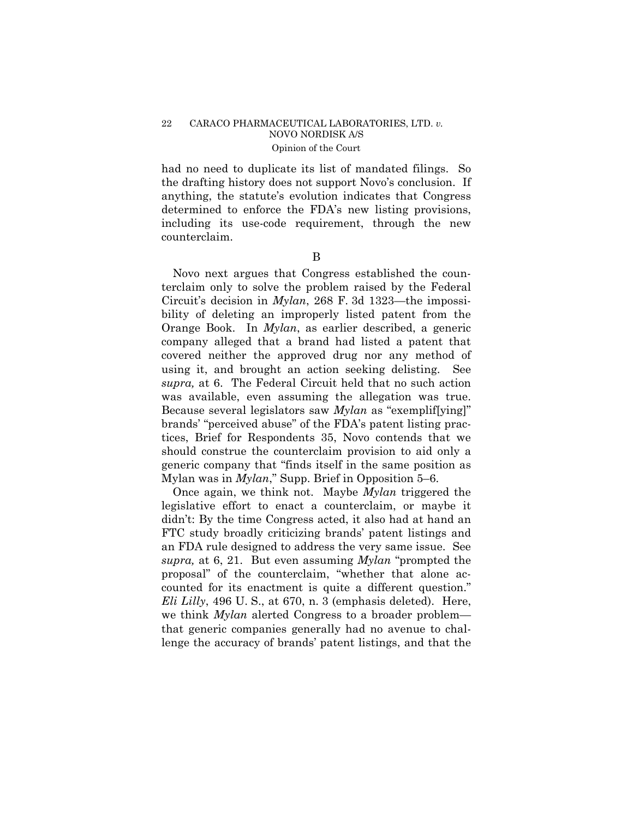had no need to duplicate its list of mandated filings. So the drafting history does not support Novo's conclusion. If anything, the statute's evolution indicates that Congress determined to enforce the FDA's new listing provisions, including its use-code requirement, through the new counterclaim.

B

 was available, even assuming the allegation was true. Novo next argues that Congress established the counterclaim only to solve the problem raised by the Federal Circuit's decision in *Mylan*, 268 F. 3d 1323—the impossibility of deleting an improperly listed patent from the Orange Book. In *Mylan*, as earlier described, a generic company alleged that a brand had listed a patent that covered neither the approved drug nor any method of using it, and brought an action seeking delisting. See *supra,* at 6. The Federal Circuit held that no such action Because several legislators saw *Mylan* as "exemplif[ying]" brands' "perceived abuse" of the FDA's patent listing practices, Brief for Respondents 35, Novo contends that we should construe the counterclaim provision to aid only a generic company that "finds itself in the same position as Mylan was in *Mylan*," Supp. Brief in Opposition 5–6.

Once again, we think not. Maybe *Mylan* triggered the legislative effort to enact a counterclaim, or maybe it didn't: By the time Congress acted, it also had at hand an FTC study broadly criticizing brands' patent listings and an FDA rule designed to address the very same issue. See *supra,* at 6, 21. But even assuming *Mylan* "prompted the proposal" of the counterclaim, "whether that alone accounted for its enactment is quite a different question." *Eli Lilly*, 496 U. S., at 670, n. 3 (emphasis deleted). Here, we think *Mylan* alerted Congress to a broader problem that generic companies generally had no avenue to challenge the accuracy of brands' patent listings, and that the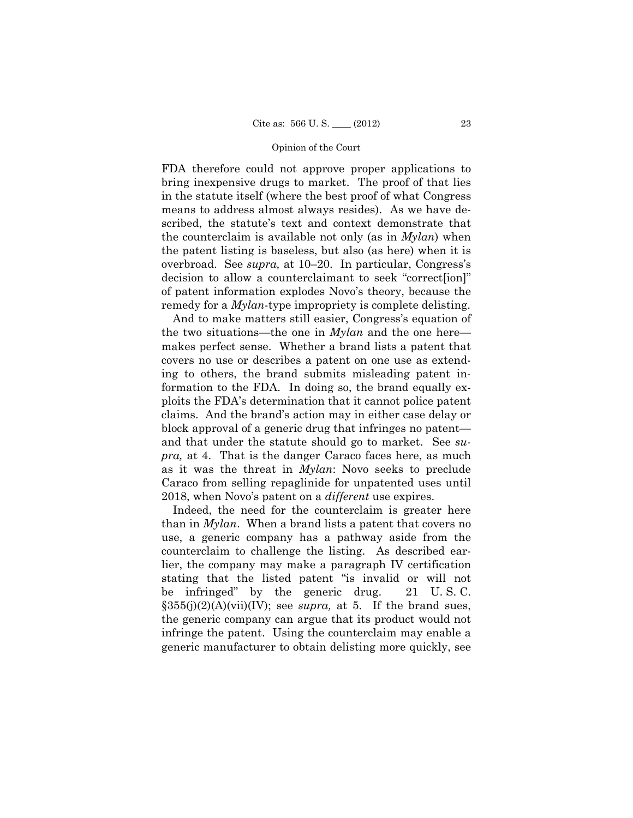overbroad. See *supra,* at 10–20. In particular, Congress's FDA therefore could not approve proper applications to bring inexpensive drugs to market. The proof of that lies in the statute itself (where the best proof of what Congress means to address almost always resides). As we have described, the statute's text and context demonstrate that the counterclaim is available not only (as in *Mylan*) when the patent listing is baseless, but also (as here) when it is decision to allow a counterclaimant to seek "correct[ion]" of patent information explodes Novo's theory, because the remedy for a *Mylan*-type impropriety is complete delisting.

 *pra,* at 4. That is the danger Caraco faces here, as much And to make matters still easier, Congress's equation of the two situations—the one in *Mylan* and the one here makes perfect sense. Whether a brand lists a patent that covers no use or describes a patent on one use as extending to others, the brand submits misleading patent information to the FDA. In doing so, the brand equally exploits the FDA's determination that it cannot police patent claims. And the brand's action may in either case delay or block approval of a generic drug that infringes no patent and that under the statute should go to market. See *su*as it was the threat in *Mylan*: Novo seeks to preclude Caraco from selling repaglinide for unpatented uses until 2018, when Novo's patent on a *different* use expires.

21 U.S.C. Indeed, the need for the counterclaim is greater here than in *Mylan*. When a brand lists a patent that covers no use, a generic company has a pathway aside from the counterclaim to challenge the listing. As described earlier, the company may make a paragraph IV certification stating that the listed patent "is invalid or will not be infringed" by the generic drug. §355(j)(2)(A)(vii)(IV); see *supra,* at 5. If the brand sues, the generic company can argue that its product would not infringe the patent. Using the counterclaim may enable a generic manufacturer to obtain delisting more quickly, see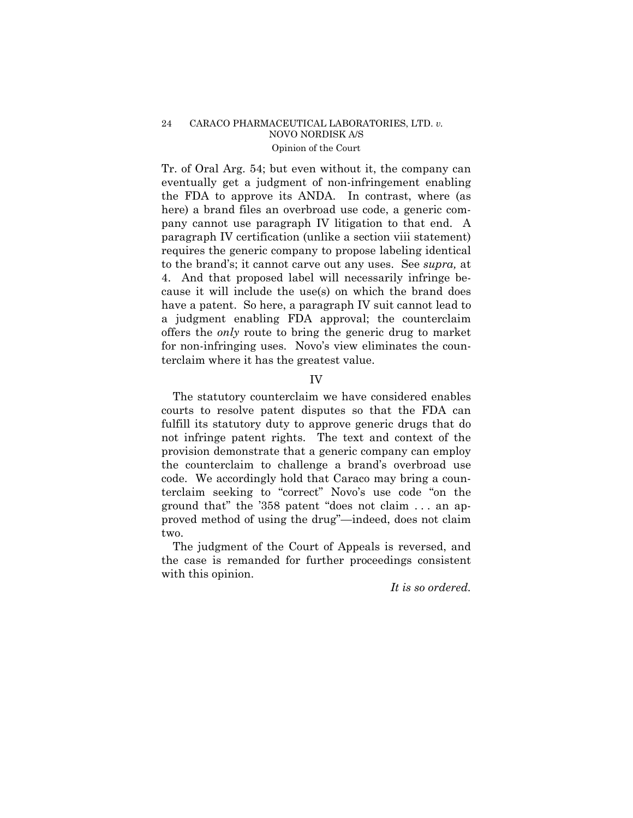Tr. of Oral Arg. 54; but even without it, the company can eventually get a judgment of non-infringement enabling the FDA to approve its ANDA. In contrast, where (as here) a brand files an overbroad use code, a generic company cannot use paragraph IV litigation to that end. A paragraph IV certification (unlike a section viii statement) requires the generic company to propose labeling identical to the brand's; it cannot carve out any uses. See *supra,* at 4. And that proposed label will necessarily infringe because it will include the use(s) on which the brand does have a patent. So here, a paragraph IV suit cannot lead to a judgment enabling FDA approval; the counterclaim offers the *only* route to bring the generic drug to market for non-infringing uses. Novo's view eliminates the counterclaim where it has the greatest value.

# IV

The statutory counterclaim we have considered enables courts to resolve patent disputes so that the FDA can fulfill its statutory duty to approve generic drugs that do not infringe patent rights. The text and context of the provision demonstrate that a generic company can employ the counterclaim to challenge a brand's overbroad use code. We accordingly hold that Caraco may bring a counterclaim seeking to "correct" Novo's use code "on the ground that" the '358 patent "does not claim . . . an approved method of using the drug"—indeed, does not claim two.

The judgment of the Court of Appeals is reversed, and the case is remanded for further proceedings consistent with this opinion.

*It is so ordered.*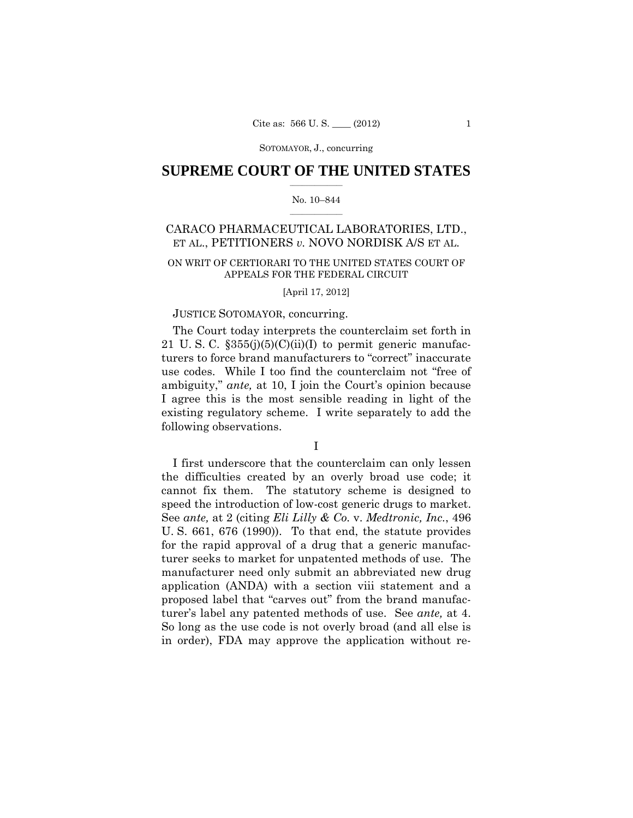SOTOMAYOR, J., concurring

## $\frac{1}{2}$  ,  $\frac{1}{2}$  ,  $\frac{1}{2}$  ,  $\frac{1}{2}$  ,  $\frac{1}{2}$  ,  $\frac{1}{2}$  ,  $\frac{1}{2}$ **SUPREME COURT OF THE UNITED STATES**

#### $\frac{1}{2}$  ,  $\frac{1}{2}$  ,  $\frac{1}{2}$  ,  $\frac{1}{2}$  ,  $\frac{1}{2}$  ,  $\frac{1}{2}$ No. 10–844

# ET AL., PETITIONERS *v.* NOVO NORDISK A/S ET AL. CARACO PHARMACEUTICAL LABORATORIES, LTD.,

## ON WRIT OF CERTIORARI TO THE UNITED STATES COURT OF APPEALS FOR THE FEDERAL CIRCUIT

[April 17, 2012]

## JUSTICE SOTOMAYOR, concurring.

The Court today interprets the counterclaim set forth in 21 U.S.C.  $$355(j)(5)(C)(ii)(I)$  to permit generic manufacturers to force brand manufacturers to "correct" inaccurate use codes. While I too find the counterclaim not "free of ambiguity," *ante,* at 10, I join the Court's opinion because I agree this is the most sensible reading in light of the existing regulatory scheme. I write separately to add the following observations.

I

turer's label any patented methods of use. See *ante*, at 4. I first underscore that the counterclaim can only lessen the difficulties created by an overly broad use code; it cannot fix them. The statutory scheme is designed to speed the introduction of low-cost generic drugs to market. See *ante,* at 2 (citing *Eli Lilly & Co.* v. *Medtronic, Inc.*, 496 U. S. 661, 676 (1990)). To that end, the statute provides for the rapid approval of a drug that a generic manufacturer seeks to market for unpatented methods of use. The manufacturer need only submit an abbreviated new drug application (ANDA) with a section viii statement and a proposed label that "carves out" from the brand manufac-So long as the use code is not overly broad (and all else is in order), FDA may approve the application without re-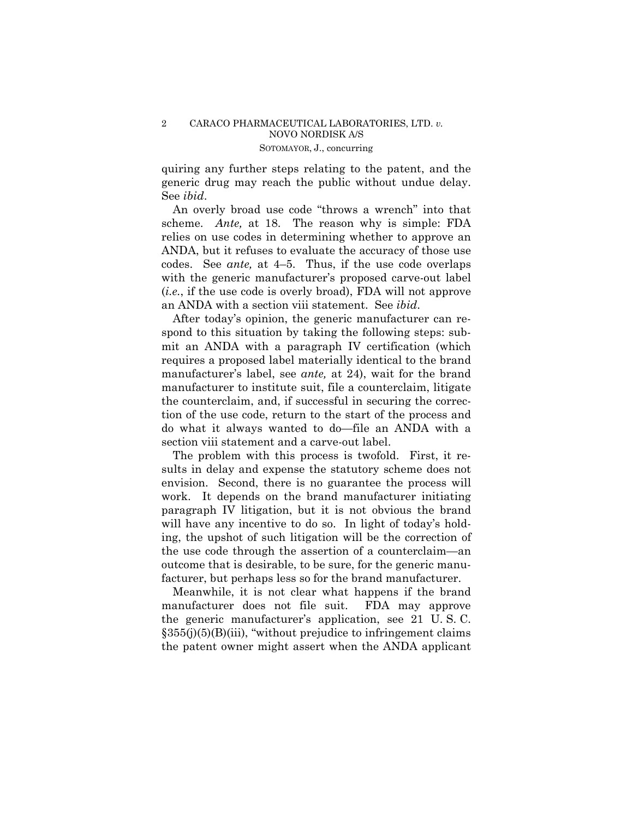quiring any further steps relating to the patent, and the generic drug may reach the public without undue delay. See *ibid*.

An overly broad use code "throws a wrench" into that scheme. *Ante,* at 18. The reason why is simple: FDA relies on use codes in determining whether to approve an ANDA, but it refuses to evaluate the accuracy of those use codes. See *ante,* at 4–5. Thus, if the use code overlaps with the generic manufacturer's proposed carve-out label (*i.e.*, if the use code is overly broad), FDA will not approve an ANDA with a section viii statement. See *ibid*.

After today's opinion, the generic manufacturer can respond to this situation by taking the following steps: submit an ANDA with a paragraph IV certification (which requires a proposed label materially identical to the brand manufacturer's label, see *ante,* at 24), wait for the brand manufacturer to institute suit, file a counterclaim, litigate the counterclaim, and, if successful in securing the correction of the use code, return to the start of the process and do what it always wanted to do—file an ANDA with a section viii statement and a carve-out label.

The problem with this process is twofold. First, it results in delay and expense the statutory scheme does not envision. Second, there is no guarantee the process will work. It depends on the brand manufacturer initiating paragraph IV litigation, but it is not obvious the brand will have any incentive to do so. In light of today's holding, the upshot of such litigation will be the correction of the use code through the assertion of a counterclaim—an outcome that is desirable, to be sure, for the generic manufacturer, but perhaps less so for the brand manufacturer.

Meanwhile, it is not clear what happens if the brand manufacturer does not file suit. FDA may approve the generic manufacturer's application, see 21 U. S. C.  $\S 355(j)(5)(B)(iii)$ , "without prejudice to infringement claims" the patent owner might assert when the ANDA applicant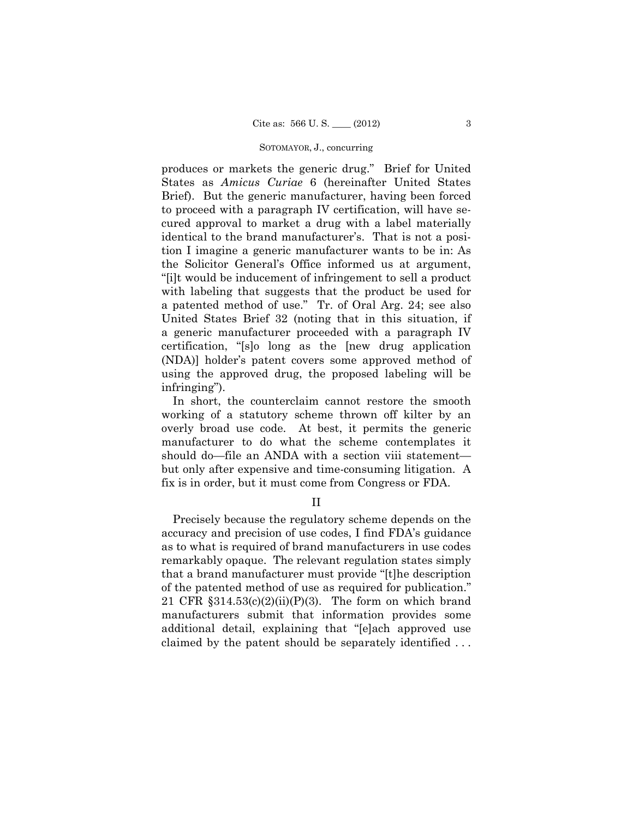#### SOTOMAYOR, J., concurring

produces or markets the generic drug." Brief for United States as *Amicus Curiae* 6 (hereinafter United States Brief). But the generic manufacturer, having been forced to proceed with a paragraph IV certification, will have secured approval to market a drug with a label materially identical to the brand manufacturer's. That is not a position I imagine a generic manufacturer wants to be in: As the Solicitor General's Office informed us at argument, "[i]t would be inducement of infringement to sell a product with labeling that suggests that the product be used for a patented method of use." Tr. of Oral Arg. 24; see also United States Brief 32 (noting that in this situation, if a generic manufacturer proceeded with a paragraph IV certification, "[s]o long as the [new drug application (NDA)] holder's patent covers some approved method of using the approved drug, the proposed labeling will be infringing").

In short, the counterclaim cannot restore the smooth working of a statutory scheme thrown off kilter by an overly broad use code. At best, it permits the generic manufacturer to do what the scheme contemplates it should do—file an ANDA with a section viii statement but only after expensive and time-consuming litigation. A fix is in order, but it must come from Congress or FDA.

II

Precisely because the regulatory scheme depends on the accuracy and precision of use codes, I find FDA's guidance as to what is required of brand manufacturers in use codes remarkably opaque. The relevant regulation states simply that a brand manufacturer must provide "[t]he description of the patented method of use as required for publication." 21 CFR  $$314.53(c)(2)(ii)(P)(3)$ . The form on which brand manufacturers submit that information provides some additional detail, explaining that "[e]ach approved use claimed by the patent should be separately identified . . .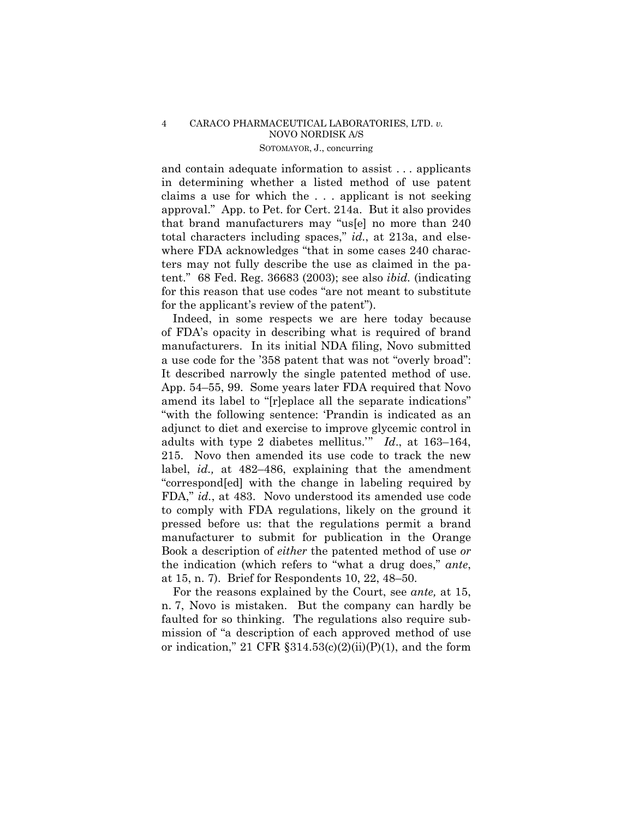## 4 CARACO PHARMACEUTICAL LABORATORIES, LTD. *v.* NOVO NORDISK A/S SOTOMAYOR, J., concurring

and contain adequate information to assist . . . applicants in determining whether a listed method of use patent claims a use for which the . . . applicant is not seeking approval." App. to Pet. for Cert. 214a. But it also provides that brand manufacturers may "us[e] no more than 240 total characters including spaces," *id.*, at 213a, and elsewhere FDA acknowledges "that in some cases 240 characters may not fully describe the use as claimed in the patent." 68 Fed. Reg. 36683 (2003); see also *ibid.* (indicating for this reason that use codes "are not meant to substitute for the applicant's review of the patent").

Indeed, in some respects we are here today because of FDA's opacity in describing what is required of brand manufacturers. In its initial NDA filing, Novo submitted a use code for the '358 patent that was not "overly broad": It described narrowly the single patented method of use. App. 54–55, 99. Some years later FDA required that Novo amend its label to "[r]eplace all the separate indications" "with the following sentence: 'Prandin is indicated as an adjunct to diet and exercise to improve glycemic control in adults with type 2 diabetes mellitus.'" *Id*., at 163–164, 215. Novo then amended its use code to track the new label, *id.,* at 482–486, explaining that the amendment "correspond[ed] with the change in labeling required by FDA," *id.*, at 483. Novo understood its amended use code to comply with FDA regulations, likely on the ground it pressed before us: that the regulations permit a brand manufacturer to submit for publication in the Orange Book a description of *either* the patented method of use *or*  the indication (which refers to "what a drug does," *ante*, at 15, n. 7). Brief for Respondents 10, 22, 48–50.

For the reasons explained by the Court, see *ante,* at 15, n. 7, Novo is mistaken. But the company can hardly be faulted for so thinking. The regulations also require submission of "a description of each approved method of use or indication," 21 CFR  $\S 314.53(c)(2)(ii)(P)(1)$ , and the form